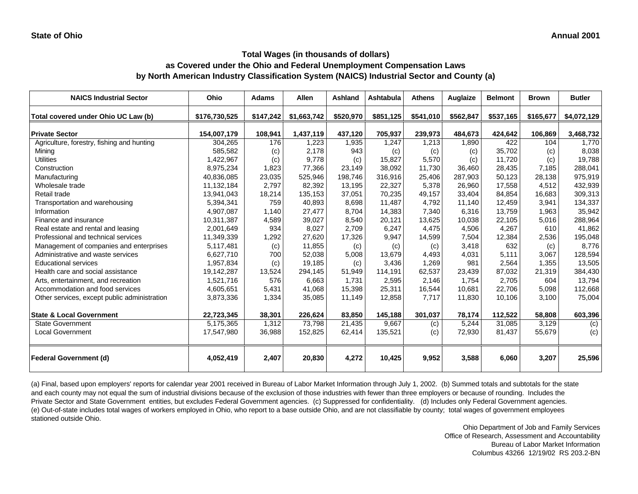# **Total Wages (in thousands of dollars)**

### **as Covered under the Ohio and Federal Unemployment Compensation Laws by North American Industry Classification System (NAICS) Industrial Sector and County (a)**

| <b>NAICS Industrial Sector</b>               | Ohio          | <b>Adams</b> | <b>Allen</b> | <b>Ashland</b> | Ashtabula | <b>Athens</b> | Auglaize  | <b>Belmont</b> | <b>Brown</b> | <b>Butler</b> |
|----------------------------------------------|---------------|--------------|--------------|----------------|-----------|---------------|-----------|----------------|--------------|---------------|
| Total covered under Ohio UC Law (b)          | \$176,730,525 | \$147,242    | \$1,663,742  | \$520,970      | \$851,125 | \$541,010     | \$562,847 | \$537,165      | \$165,677    | \$4,072,129   |
| <b>Private Sector</b>                        | 154,007,179   | 108,941      | 1,437,119    | 437,120        | 705,937   | 239,973       | 484,673   | 424,642        | 106,869      | 3,468,732     |
| Agriculture, forestry, fishing and hunting   | 304,265       | 176          | 1,223        | 1,935          | 1,247     | 1,213         | 1,890     | 422            | 104          | 1,770         |
| Mining                                       | 585,582       | (c)          | 2,178        | 943            | (c)       | (c)           | (c)       | 35,702         | (c)          | 8,038         |
| <b>Utilities</b>                             | 1,422,967     | (c)          | 9,778        | (c)            | 15,827    | 5,570         | (c)       | 11,720         | (c)          | 19,788        |
| Construction                                 | 8,975,234     | 1,823        | 77,366       | 23,149         | 38,092    | 11,730        | 36,460    | 28,435         | 7,185        | 288,041       |
| Manufacturing                                | 40,836,085    | 23,035       | 525,946      | 198,746        | 316,916   | 25,406        | 287,903   | 50,123         | 28,138       | 975,919       |
| Wholesale trade                              | 11,132,184    | 2,797        | 82,392       | 13,195         | 22,327    | 5,378         | 26,960    | 17,558         | 4,512        | 432,939       |
| Retail trade                                 | 13,941,043    | 18,214       | 135,153      | 37,051         | 70,235    | 49,157        | 33,404    | 84,854         | 16,683       | 309,313       |
| Transportation and warehousing               | 5,394,341     | 759          | 40,893       | 8,698          | 11,487    | 4,792         | 11,140    | 12,459         | 3,941        | 134,337       |
| Information                                  | 4,907,087     | 1,140        | 27,477       | 8,704          | 14,383    | 7,340         | 6,316     | 13,759         | 1,963        | 35,942        |
| Finance and insurance                        | 10,311,387    | 4,589        | 39,027       | 8,540          | 20,121    | 13,625        | 10,038    | 22,105         | 5,016        | 288,964       |
| Real estate and rental and leasing           | 2,001,649     | 934          | 8,027        | 2,709          | 6,247     | 4,475         | 4,506     | 4,267          | 610          | 41,862        |
| Professional and technical services          | 11,349,339    | 1,292        | 27,620       | 17,326         | 9,947     | 14,599        | 7,504     | 12,384         | 2,536        | 195,048       |
| Management of companies and enterprises      | 5,117,481     | (c)          | 11,855       | (c)            | (c)       | (c)           | 3,418     | 632            | (c)          | 8.776         |
| Administrative and waste services            | 6,627,710     | 700          | 52,038       | 5,008          | 13,679    | 4,493         | 4,031     | 5,111          | 3,067        | 128,594       |
| <b>Educational services</b>                  | 1,957,834     | (c)          | 19,185       | (c)            | 3,436     | 1,269         | 981       | 2,564          | 1,355        | 13,505        |
| Health care and social assistance            | 19,142,287    | 13,524       | 294,145      | 51,949         | 114,191   | 62,537        | 23,439    | 87,032         | 21,319       | 384,430       |
| Arts, entertainment, and recreation          | 1,521,716     | 576          | 6,663        | 1,731          | 2,595     | 2,146         | 1,754     | 2,705          | 604          | 13,794        |
| Accommodation and food services              | 4,605,651     | 5,431        | 41,068       | 15,398         | 25,311    | 16,544        | 10,681    | 22,706         | 5,098        | 112,668       |
| Other services, except public administration | 3,873,336     | 1,334        | 35,085       | 11,149         | 12,858    | 7,717         | 11,830    | 10,106         | 3,100        | 75,004        |
| <b>State &amp; Local Government</b>          | 22,723,345    | 38,301       | 226,624      | 83.850         | 145,188   | 301,037       | 78,174    | 112,522        | 58,808       | 603,396       |
| <b>State Government</b>                      | 5,175,365     | 1,312        | 73,798       | 21,435         | 9,667     | (c)           | 5,244     | 31,085         | 3,129        | (c)           |
| <b>Local Government</b>                      | 17,547,980    | 36,988       | 152,825      | 62,414         | 135,521   | (c)           | 72,930    | 81,437         | 55,679       | (c)           |
| <b>Federal Government (d)</b>                | 4,052,419     | 2,407        | 20,830       | 4,272          | 10,425    | 9,952         | 3,588     | 6,060          | 3,207        | 25,596        |

(a) Final, based upon employers' reports for calendar year 2001 received in Bureau of Labor Market Information through July 1, 2002. (b) Summed totals and subtotals for the state and each county may not equal the sum of industrial divisions because of the exclusion of those industries with fewer than three employers or because of rounding. Includes the Private Sector and State Government entities, but excludes Federal Government agencies. (c) Suppressed for confidentiality. (d) Includes only Federal Government agencies. (e) Out-of-state includes total wages of workers employed in Ohio, who report to a base outside Ohio, and are not classifiable by county; total wages of government employees stationed outside Ohio.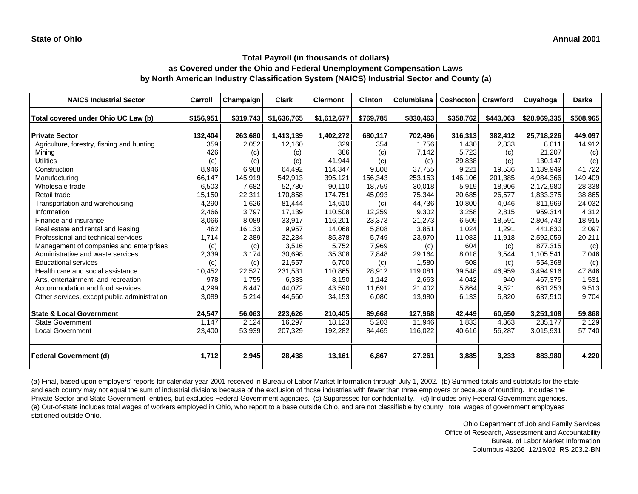| <b>NAICS Industrial Sector</b>               | Carroll   | Champaign | <b>Clark</b> | <b>Clermont</b> | <b>Clinton</b> | Columbiana | Coshocton | Crawford  | Cuyahoga     | <b>Darke</b> |
|----------------------------------------------|-----------|-----------|--------------|-----------------|----------------|------------|-----------|-----------|--------------|--------------|
| Total covered under Ohio UC Law (b)          | \$156,951 | \$319,743 | \$1,636,765  | \$1,612,677     | \$769,785      | \$830,463  | \$358,762 | \$443,063 | \$28,969,335 | \$508,965    |
| <b>Private Sector</b>                        | 132,404   | 263,680   | 1,413,139    | 1,402,272       | 680,117        | 702,496    | 316,313   | 382,412   | 25,718,226   | 449,097      |
| Agriculture, forestry, fishing and hunting   | 359       | 2,052     | 12,160       | 329             | 354            | 1.756      | 1,430     | 2,833     | 8,011        | 14,912       |
| Mining                                       | 426       | (c)       | (c)          | 386             | (c)            | 7,142      | 5,723     | (c)       | 21,207       | (c)          |
| <b>Utilities</b>                             | (c)       | (c)       | (c)          | 41,944          | (c)            | (c)        | 29,838    | (c)       | 130,147      | (c)          |
| Construction                                 | 8,946     | 6,988     | 64,492       | 114,347         | 9,808          | 37.755     | 9,221     | 19,536    | 1.139.949    | 41,722       |
| Manufacturing                                | 66,147    | 145,919   | 542,913      | 395,121         | 156,343        | 253,153    | 146,106   | 201,385   | 4,984,366    | 149,409      |
| Wholesale trade                              | 6,503     | 7,682     | 52,780       | 90,110          | 18,759         | 30,018     | 5,919     | 18.906    | 2,172,980    | 28,338       |
| Retail trade                                 | 15,150    | 22,311    | 170,858      | 174,751         | 45,093         | 75,344     | 20,685    | 26,577    | 1,833,375    | 38,865       |
| Transportation and warehousing               | 4,290     | 1,626     | 81,444       | 14,610          | (c)            | 44,736     | 10,800    | 4,046     | 811,969      | 24,032       |
| Information                                  | 2,466     | 3,797     | 17,139       | 110,508         | 12,259         | 9,302      | 3,258     | 2,815     | 959,314      | 4,312        |
| Finance and insurance                        | 3,066     | 8,089     | 33,917       | 116,201         | 23,373         | 21,273     | 6,509     | 18,591    | 2,804,743    | 18,915       |
| Real estate and rental and leasing           | 462       | 16,133    | 9,957        | 14,068          | 5,808          | 3,851      | 1,024     | 1,291     | 441,830      | 2,097        |
| Professional and technical services          | 1.714     | 2,389     | 32,234       | 85,378          | 5,749          | 23,970     | 11,083    | 11,918    | 2,592,059    | 20,211       |
| Management of companies and enterprises      | (c)       | (c)       | 3,516        | 5,752           | 7,969          | (c)        | 604       | (c)       | 877,315      | (c)          |
| Administrative and waste services            | 2,339     | 3,174     | 30,698       | 35,308          | 7,848          | 29,164     | 8,018     | 3,544     | 1,105,541    | 7,046        |
| <b>Educational services</b>                  | (c)       | (c)       | 21,557       | 6,700           | (c)            | 1,580      | 508       | (c)       | 554,368      | (c)          |
| Health care and social assistance            | 10,452    | 22,527    | 231,531      | 110,865         | 28,912         | 119,081    | 39,548    | 46,959    | 3,494,916    | 47,846       |
| Arts, entertainment, and recreation          | 978       | 1,755     | 6,333        | 8,150           | 1,142          | 2,663      | 4,042     | 940       | 467,375      | 1,531        |
| Accommodation and food services              | 4,299     | 8,447     | 44,072       | 43,590          | 11,691         | 21,402     | 5,864     | 9,521     | 681,253      | 9,513        |
| Other services, except public administration | 3,089     | 5,214     | 44,560       | 34,153          | 6,080          | 13,980     | 6,133     | 6,820     | 637,510      | 9,704        |
| <b>State &amp; Local Government</b>          | 24,547    | 56,063    | 223,626      | 210,405         | 89,668         | 127,968    | 42,449    | 60,650    | 3,251,108    | 59,868       |
| <b>State Government</b>                      | 1,147     | 2,124     | 16,297       | 18,123          | 5,203          | 11,946     | 1,833     | 4,363     | 235,177      | 2,129        |
| <b>Local Government</b>                      | 23,400    | 53,939    | 207,329      | 192,282         | 84,465         | 116,022    | 40,616    | 56,287    | 3,015,931    | 57,740       |
| <b>Federal Government (d)</b>                | 1,712     | 2,945     | 28,438       | 13,161          | 6,867          | 27,261     | 3,885     | 3,233     | 883,980      | 4,220        |

(a) Final, based upon employers' reports for calendar year 2001 received in Bureau of Labor Market Information through July 1, 2002. (b) Summed totals and subtotals for the state and each county may not equal the sum of industrial divisions because of the exclusion of those industries with fewer than three employers or because of rounding. Includes the Private Sector and State Government entities, but excludes Federal Government agencies. (c) Suppressed for confidentiality. (d) Includes only Federal Government agencies. (e) Out-of-state includes total wages of workers employed in Ohio, who report to a base outside Ohio, and are not classifiable by county; total wages of government employees stationed outside Ohio.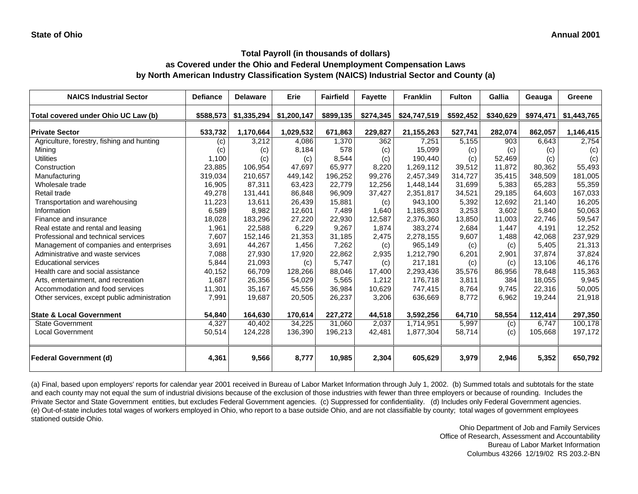| <b>NAICS Industrial Sector</b>               | <b>Defiance</b> | <b>Delaware</b> | Erie        | <b>Fairfield</b> | <b>Fayette</b> | <b>Franklin</b> | <b>Fulton</b> | Gallia    | Geauga    | Greene      |
|----------------------------------------------|-----------------|-----------------|-------------|------------------|----------------|-----------------|---------------|-----------|-----------|-------------|
| Total covered under Ohio UC Law (b)          | \$588,573       | \$1,335,294     | \$1,200,147 | \$899,135        | \$274,345      | \$24,747,519    | \$592,452     | \$340,629 | \$974,471 | \$1,443,765 |
| <b>Private Sector</b>                        | 533,732         | 1,170,664       | 1,029,532   | 671,863          | 229,827        | 21, 155, 263    | 527,741       | 282,074   | 862,057   | 1,146,415   |
| Agriculture, forestry, fishing and hunting   | (c)             | 3,212           | 4,086       | 1,370            | 362            | 7,251           | 5,155         | 903       | 6,643     | 2,754       |
| Mining                                       | (c)             | (c)             | 8,184       | 578              | (c)            | 15,099          | (c)           | (c)       | (c)       | (c)         |
| <b>Utilities</b>                             | 1,100           | (c)             | (c)         | 8,544            | (c)            | 190,440         | (c)           | 52,469    | (c)       | (c)         |
| Construction                                 | 23,885          | 106,954         | 47,697      | 65,977           | 8,220          | 1,269,112       | 39,512        | 11,872    | 80,362    | 55,493      |
| Manufacturing                                | 319,034         | 210,657         | 449,142     | 196,252          | 99,276         | 2,457,349       | 314,727       | 35,415    | 348,509   | 181,005     |
| Wholesale trade                              | 16,905          | 87,311          | 63,423      | 22,779           | 12,256         | 1,448,144       | 31,699        | 5,383     | 65,283    | 55,359      |
| Retail trade                                 | 49,278          | 131,441         | 86,848      | 96,909           | 37,427         | 2,351,817       | 34,521        | 29,185    | 64,603    | 167,033     |
| Transportation and warehousing               | 11,223          | 13,611          | 26,439      | 15,881           | (c)            | 943,100         | 5,392         | 12,692    | 21,140    | 16,205      |
| Information                                  | 6,589           | 8,982           | 12,601      | 7,489            | 1,640          | 1,185,803       | 3,253         | 3,602     | 5,840     | 50,063      |
| Finance and insurance                        | 18,028          | 183,296         | 27,220      | 22,930           | 12.587         | 2,376,360       | 13,850        | 11.003    | 22,746    | 59,547      |
| Real estate and rental and leasing           | 1,961           | 22,588          | 6,229       | 9,267            | 1,874          | 383,274         | 2,684         | 1,447     | 4,191     | 12,252      |
| Professional and technical services          | 7,607           | 152,146         | 21,353      | 31,185           | 2,475          | 2,278,155       | 9,607         | 1,488     | 42,068    | 237,929     |
| Management of companies and enterprises      | 3,691           | 44,267          | 1,456       | 7,262            | (c)            | 965,149         | (c)           | (c)       | 5,405     | 21,313      |
| Administrative and waste services            | 7,088           | 27,930          | 17,920      | 22,862           | 2,935          | 1,212,790       | 6,201         | 2,901     | 37,874    | 37,824      |
| <b>Educational services</b>                  | 5,844           | 21,093          | (c)         | 5,747            | (c)            | 217,181         | (c)           | (c)       | 13,106    | 46,176      |
| Health care and social assistance            | 40,152          | 66,709          | 128,266     | 88,046           | 17,400         | 2,293,436       | 35,576        | 86,956    | 78,648    | 115,363     |
| Arts, entertainment, and recreation          | 1,687           | 26,356          | 54,029      | 5,565            | 1,212          | 176,718         | 3,811         | 384       | 18.055    | 9,945       |
| Accommodation and food services              | 11,301          | 35,167          | 45,556      | 36,984           | 10,629         | 747,415         | 8,764         | 9,745     | 22,316    | 50,005      |
| Other services, except public administration | 7,991           | 19,687          | 20,505      | 26,237           | 3,206          | 636,669         | 8,772         | 6,962     | 19,244    | 21,918      |
|                                              |                 |                 |             |                  |                |                 |               |           |           |             |
| <b>State &amp; Local Government</b>          | 54,840          | 164,630         | 170,614     | 227,272          | 44,518         | 3,592,256       | 64,710        | 58,554    | 112,414   | 297,350     |
| <b>State Government</b>                      | 4,327           | 40,402          | 34,225      | 31,060           | 2,037          | 1,714,951       | 5,997         | (c)       | 6,747     | 100,178     |
| <b>Local Government</b>                      | 50,514          | 124,228         | 136,390     | 196,213          | 42,481         | 1,877,304       | 58,714        | (c)       | 105,668   | 197,172     |
| <b>Federal Government (d)</b>                | 4,361           | 9,566           | 8,777       | 10,985           | 2,304          | 605,629         | 3,979         | 2,946     | 5,352     | 650,792     |

(a) Final, based upon employers' reports for calendar year 2001 received in Bureau of Labor Market Information through July 1, 2002. (b) Summed totals and subtotals for the state and each county may not equal the sum of industrial divisions because of the exclusion of those industries with fewer than three employers or because of rounding. Includes the Private Sector and State Government entities, but excludes Federal Government agencies. (c) Suppressed for confidentiality. (d) Includes only Federal Government agencies. (e) Out-of-state includes total wages of workers employed in Ohio, who report to a base outside Ohio, and are not classifiable by county; total wages of government employees stationed outside Ohio.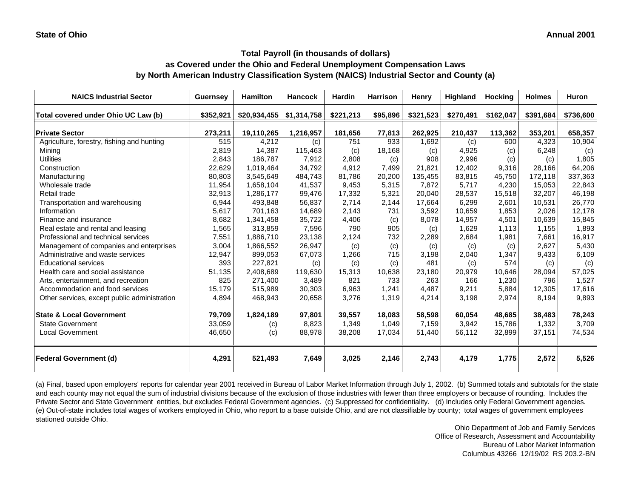#### **Total Payroll (in thousands of dollars)**

## **as Covered under the Ohio and Federal Unemployment Compensation Laws by North American Industry Classification System (NAICS) Industrial Sector and County (a)**

| <b>NAICS Industrial Sector</b>               | <b>Guernsey</b> | <b>Hamilton</b> | <b>Hancock</b> | <b>Hardin</b> | <b>Harrison</b> | Henry     | <b>Highland</b> | <b>Hocking</b> | <b>Holmes</b> | <b>Huron</b> |
|----------------------------------------------|-----------------|-----------------|----------------|---------------|-----------------|-----------|-----------------|----------------|---------------|--------------|
| Total covered under Ohio UC Law (b)          | \$352,921       | \$20,934,455    | \$1,314,758    | \$221,213     | \$95,896        | \$321,523 | \$270,491       | \$162,047      | \$391,684     | \$736,600    |
| <b>Private Sector</b>                        | 273,211         | 19,110,265      | 1,216,957      | 181,656       | 77,813          | 262,925   | 210,437         | 113,362        | 353,201       | 658,357      |
| Agriculture, forestry, fishing and hunting   | 515             | 4,212           | (c)            | 751           | 933             | 1,692     | (c)             | 600            | 4,323         | 10,904       |
| Mining                                       | 2,819           | 14,387          | 115,463        | (c)           | 18,168          | (c)       | 4,925           | (c)            | 6,248         | (c)          |
| <b>Utilities</b>                             | 2,843           | 186,787         | 7,912          | 2,808         | (c)             | 908       | 2,996           | (c)            | (c)           | 1,805        |
| Construction                                 | 22,629          | 1,019,464       | 34,792         | 4,912         | 7,499           | 21,821    | 12.402          | 9,316          | 28,166        | 64,206       |
| Manufacturing                                | 80,803          | 3,545,649       | 484,743        | 81,786        | 20,200          | 135,455   | 83,815          | 45,750         | 172,118       | 337,363      |
| Wholesale trade                              | 11,954          | 1,658,104       | 41,537         | 9,453         | 5,315           | 7,872     | 5,717           | 4,230          | 15,053        | 22,843       |
| Retail trade                                 | 32,913          | 1,286,177       | 99,476         | 17,332        | 5,321           | 20,040    | 28,537          | 15,518         | 32,207        | 46,198       |
| Transportation and warehousing               | 6,944           | 493,848         | 56,837         | 2,714         | 2,144           | 17,664    | 6,299           | 2.601          | 10,531        | 26,770       |
| Information                                  | 5,617           | 701,163         | 14,689         | 2,143         | 731             | 3,592     | 10,659          | 1,853          | 2,026         | 12,178       |
| Finance and insurance                        | 8,682           | 1,341,458       | 35,722         | 4,406         | (c)             | 8,078     | 14.957          | 4,501          | 10.639        | 15,845       |
| Real estate and rental and leasing           | 1,565           | 313,859         | 7,596          | 790           | 905             | (c)       | 1,629           | 1,113          | 1,155         | 1,893        |
| Professional and technical services          | 7,551           | 1,886,710       | 23,138         | 2,124         | 732             | 2,289     | 2,684           | 1,981          | 7,661         | 16,917       |
| Management of companies and enterprises      | 3,004           | 1,866,552       | 26,947         | (c)           | (c)             | (c)       | (c)             | (c)            | 2,627         | 5,430        |
| Administrative and waste services            | 12,947          | 899,053         | 67,073         | 1,266         | 715             | 3,198     | 2,040           | 1,347          | 9,433         | 6,109        |
| <b>Educational services</b>                  | 393             | 227,821         | (c)            | (c)           | (c)             | 481       | (c)             | 574            | (c)           | (c)          |
| Health care and social assistance            | 51,135          | 2,408,689       | 119,630        | 15,313        | 10,638          | 23,180    | 20.979          | 10.646         | 28,094        | 57,025       |
| Arts, entertainment, and recreation          | 825             | 271,400         | 3,489          | 821           | 733             | 263       | 166             | 1,230          | 796           | 1,527        |
| Accommodation and food services              | 15,179          | 515,989         | 30,303         | 6,963         | 1,241           | 4,487     | 9,211           | 5,884          | 12,305        | 17,616       |
| Other services, except public administration | 4,894           | 468,943         | 20,658         | 3,276         | 1,319           | 4,214     | 3,198           | 2,974          | 8,194         | 9,893        |
| <b>State &amp; Local Government</b>          | 79,709          | 1,824,189       | 97,801         | 39,557        | 18,083          | 58,598    | 60,054          | 48,685         | 38,483        | 78,243       |
| <b>State Government</b>                      | 33,059          | (c)             | 8,823          | 1,349         | 1,049           | 7,159     | 3,942           | 15,786         | 1,332         | 3,709        |
| <b>Local Government</b>                      | 46,650          | (c)             | 88,978         | 38,208        | 17,034          | 51,440    | 56,112          | 32,899         | 37,151        | 74,534       |
| <b>Federal Government (d)</b>                | 4,291           | 521,493         | 7,649          | 3,025         | 2,146           | 2,743     | 4,179           | 1,775          | 2,572         | 5,526        |

(a) Final, based upon employers' reports for calendar year 2001 received in Bureau of Labor Market Information through July 1, 2002. (b) Summed totals and subtotals for the state and each county may not equal the sum of industrial divisions because of the exclusion of those industries with fewer than three employers or because of rounding. Includes the Private Sector and State Government entities, but excludes Federal Government agencies. (c) Suppressed for confidentiality. (d) Includes only Federal Government agencies. (e) Out-of-state includes total wages of workers employed in Ohio, who report to a base outside Ohio, and are not classifiable by county; total wages of government employees stationed outside Ohio.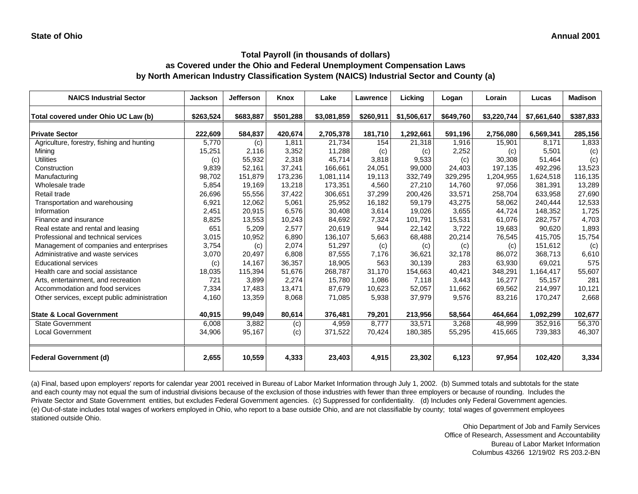| <b>NAICS Industrial Sector</b>               | <b>Jackson</b> | <b>Jefferson</b> | Knox      | Lake        | <b>Lawrence</b> | Licking     | Logan     | Lorain      | Lucas       | <b>Madison</b> |
|----------------------------------------------|----------------|------------------|-----------|-------------|-----------------|-------------|-----------|-------------|-------------|----------------|
| Total covered under Ohio UC Law (b)          | \$263,524      | \$683,887        | \$501,288 | \$3,081,859 | \$260,911       | \$1,506,617 | \$649,760 | \$3,220,744 | \$7,661,640 | \$387,833      |
| <b>Private Sector</b>                        | 222,609        | 584,837          | 420,674   | 2,705,378   | 181,710         | 1,292,661   | 591,196   | 2,756,080   | 6,569,341   | 285,156        |
| Agriculture, forestry, fishing and hunting   | 5,770          | (c)              | 1,811     | 21,734      | 154             | 21,318      | 1,916     | 15,901      | 8,171       | 1,833          |
| Mining                                       | 15,251         | 2,116            | 3,352     | 11,288      | (c)             | (c)         | 2,252     | (c)         | 5,501       | (c)            |
| <b>Utilities</b>                             | (c)            | 55,932           | 2,318     | 45,714      | 3,818           | 9,533       | (c)       | 30,308      | 51,464      | (c)            |
| Construction                                 | 9,839          | 52,161           | 37,241    | 166,661     | 24,051          | 99,000      | 24,403    | 197,135     | 492,296     | 13,523         |
| Manufacturing                                | 98,702         | 151,879          | 173,236   | 1,081,114   | 19,113          | 332,749     | 329,295   | 1,204,955   | 1,624,518   | 116,135        |
| Wholesale trade                              | 5,854          | 19,169           | 13,218    | 173,351     | 4,560           | 27,210      | 14,760    | 97,056      | 381,391     | 13,289         |
| Retail trade                                 | 26,696         | 55,556           | 37,422    | 306,651     | 37,299          | 200,426     | 33,571    | 258,704     | 633,958     | 27,690         |
| Transportation and warehousing               | 6,921          | 12,062           | 5,061     | 25,952      | 16,182          | 59,179      | 43,275    | 58,062      | 240,444     | 12,533         |
| Information                                  | 2,451          | 20,915           | 6,576     | 30,408      | 3,614           | 19,026      | 3,655     | 44,724      | 148,352     | 1,725          |
| Finance and insurance                        | 8,825          | 13,553           | 10,243    | 84,692      | 7,324           | 101.791     | 15,531    | 61,076      | 282,757     | 4,703          |
| Real estate and rental and leasing           | 651            | 5,209            | 2,577     | 20,619      | 944             | 22,142      | 3,722     | 19,683      | 90,620      | 1,893          |
| Professional and technical services          | 3,015          | 10,952           | 6,890     | 136,107     | 5,663           | 68,488      | 20,214    | 76,545      | 415,705     | 15,754         |
| Management of companies and enterprises      | 3,754          | (c)              | 2,074     | 51,297      | (c)             | (c)         | (c)       | (c)         | 151,612     | (c)            |
| Administrative and waste services            | 3,070          | 20,497           | 6,808     | 87,555      | 7,176           | 36,621      | 32,178    | 86,072      | 368,713     | 6,610          |
| <b>Educational services</b>                  | (c)            | 14,167           | 36,357    | 18,905      | 563             | 30,139      | 283       | 63,930      | 69,021      | 575            |
| Health care and social assistance            | 18,035         | 115,394          | 51,676    | 268,787     | 31,170          | 154,663     | 40,421    | 348,291     | 1,164,417   | 55,607         |
| Arts, entertainment, and recreation          | 721            | 3,899            | 2,274     | 15,780      | 1,086           | 7,118       | 3,443     | 16,277      | 55,157      | 281            |
| Accommodation and food services              | 7,334          | 17,483           | 13,471    | 87,679      | 10,623          | 52,057      | 11,662    | 69,562      | 214,997     | 10,121         |
| Other services, except public administration | 4,160          | 13,359           | 8,068     | 71,085      | 5,938           | 37,979      | 9,576     | 83,216      | 170,247     | 2,668          |
| <b>State &amp; Local Government</b>          | 40,915         | 99,049           | 80,614    | 376,481     | 79,201          | 213,956     | 58,564    | 464,664     | 1,092,299   | 102,677        |
| <b>State Government</b>                      | 6,008          | 3,882            | (c)       | 4,959       | 8,777           | 33,571      | 3,268     | 48,999      | 352,916     | 56,370         |
| <b>Local Government</b>                      | 34,906         | 95,167           | (c)       | 371,522     | 70,424          | 180,385     | 55,295    | 415,665     | 739,383     | 46,307         |
| <b>Federal Government (d)</b>                | 2,655          | 10,559           | 4,333     | 23,403      | 4,915           | 23,302      | 6,123     | 97,954      | 102,420     | 3,334          |

(a) Final, based upon employers' reports for calendar year 2001 received in Bureau of Labor Market Information through July 1, 2002. (b) Summed totals and subtotals for the state and each county may not equal the sum of industrial divisions because of the exclusion of those industries with fewer than three employers or because of rounding. Includes the Private Sector and State Government entities, but excludes Federal Government agencies. (c) Suppressed for confidentiality. (d) Includes only Federal Government agencies. (e) Out-of-state includes total wages of workers employed in Ohio, who report to a base outside Ohio, and are not classifiable by county; total wages of government employees stationed outside Ohio.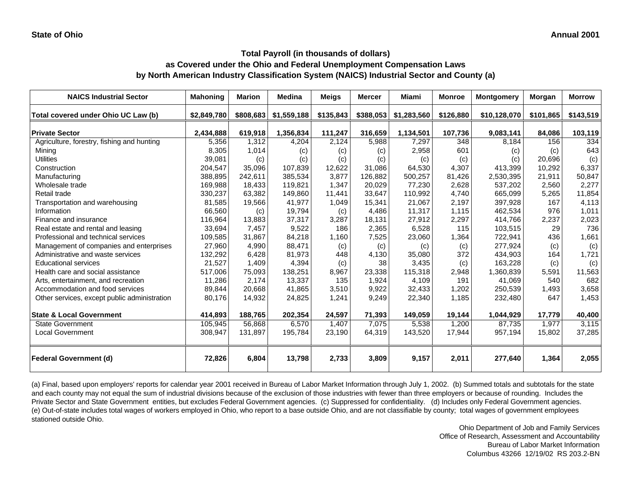| <b>NAICS Industrial Sector</b>               | <b>Mahoning</b> | <b>Marion</b> | <b>Medina</b> | Meigs     | <b>Mercer</b> | Miami       | <b>Monroe</b> | <b>Montgomery</b> | Morgan    | <b>Morrow</b> |
|----------------------------------------------|-----------------|---------------|---------------|-----------|---------------|-------------|---------------|-------------------|-----------|---------------|
| Total covered under Ohio UC Law (b)          | \$2,849,780     | \$808,683     | \$1,559,188   | \$135,843 | \$388,053     | \$1,283,560 | \$126,880     | \$10,128,070      | \$101,865 | \$143,519     |
| <b>Private Sector</b>                        | 2,434,888       | 619,918       | 1,356,834     | 111,247   | 316,659       | 1,134,501   | 107,736       | 9,083,141         | 84,086    | 103,119       |
| Agriculture, forestry, fishing and hunting   | 5,356           | 1,312         | 4,204         | 2,124     | 5,988         | 7,297       | 348           | 8,184             | 156       | 334           |
| Mining                                       | 8,305           | 1,014         | (c)           | (c)       | (c)           | 2,958       | 601           | (c)               | (c)       | 643           |
| <b>Utilities</b>                             | 39,081          | (c)           | (c)           | (c)       | (c)           | (c)         | (c)           | (c)               | 20,696    | (c)           |
| Construction                                 | 204,547         | 35,096        | 107,839       | 12,622    | 31,086        | 64,530      | 4,307         | 413,399           | 10,292    | 6,337         |
| Manufacturing                                | 388,895         | 242,611       | 385,534       | 3,877     | 126,882       | 500,257     | 81,426        | 2,530,395         | 21,911    | 50,847        |
| Wholesale trade                              | 169,988         | 18,433        | 119,821       | 1,347     | 20,029        | 77,230      | 2,628         | 537,202           | 2,560     | 2,277         |
| Retail trade                                 | 330,237         | 63,382        | 149,860       | 11,441    | 33,647        | 110,992     | 4,740         | 665,099           | 5,265     | 11,854        |
| Transportation and warehousing               | 81,585          | 19,566        | 41,977        | 1,049     | 15,341        | 21,067      | 2,197         | 397,928           | 167       | 4,113         |
| Information                                  | 66,560          | (c)           | 19,794        | (c)       | 4,486         | 11,317      | 1,115         | 462,534           | 976       | 1,011         |
| Finance and insurance                        | 116,964         | 13,883        | 37,317        | 3,287     | 18,131        | 27,912      | 2,297         | 414,766           | 2,237     | 2,023         |
| Real estate and rental and leasing           | 33,694          | 7,457         | 9,522         | 186       | 2,365         | 6,528       | 115           | 103,515           | 29        | 736           |
| Professional and technical services          | 109,585         | 31,867        | 84,218        | 1,160     | 7,525         | 23,060      | 1,364         | 722,941           | 436       | 1,661         |
| Management of companies and enterprises      | 27.960          | 4,990         | 88,471        | (c)       | (c)           | (c)         | (c)           | 277,924           | (c)       | (c)           |
| Administrative and waste services            | 132,292         | 6,428         | 81,973        | 448       | 4,130         | 35,080      | 372           | 434,903           | 164       | 1,721         |
| <b>Educational services</b>                  | 21,527          | 1,409         | 4,394         | (c)       | 38            | 3,435       | (c)           | 163,228           | (c)       | (c)           |
| Health care and social assistance            | 517,006         | 75,093        | 138,251       | 8,967     | 23,338        | 115,318     | 2,948         | 1,360,839         | 5,591     | 11,563        |
| Arts, entertainment, and recreation          | 11.286          | 2,174         | 13,337        | 135       | 1.924         | 4.109       | 191           | 41.069            | 540       | 682           |
| Accommodation and food services              | 89,844          | 20,668        | 41,865        | 3,510     | 9,922         | 32,433      | 1,202         | 250,539           | 1,493     | 3,658         |
| Other services, except public administration | 80,176          | 14,932        | 24,825        | 1,241     | 9,249         | 22,340      | 1,185         | 232,480           | 647       | 1,453         |
| <b>State &amp; Local Government</b>          | 414,893         | 188,765       | 202,354       | 24,597    | 71,393        | 149,059     | 19,144        | 1,044,929         | 17,779    | 40,400        |
| <b>State Government</b>                      | 105,945         | 56,868        | 6,570         | 1,407     | 7,075         | 5,538       | 1,200         | 87,735            | 1,977     | 3,115         |
| <b>Local Government</b>                      | 308,947         | 131,897       | 195,784       | 23,190    | 64,319        | 143,520     | 17,944        | 957,194           | 15,802    | 37,285        |
| <b>Federal Government (d)</b>                | 72,826          | 6,804         | 13,798        | 2,733     | 3,809         | 9,157       | 2,011         | 277,640           | 1,364     | 2,055         |

(a) Final, based upon employers' reports for calendar year 2001 received in Bureau of Labor Market Information through July 1, 2002. (b) Summed totals and subtotals for the state and each county may not equal the sum of industrial divisions because of the exclusion of those industries with fewer than three employers or because of rounding. Includes the Private Sector and State Government entities, but excludes Federal Government agencies. (c) Suppressed for confidentiality. (d) Includes only Federal Government agencies. (e) Out-of-state includes total wages of workers employed in Ohio, who report to a base outside Ohio, and are not classifiable by county; total wages of government employees stationed outside Ohio.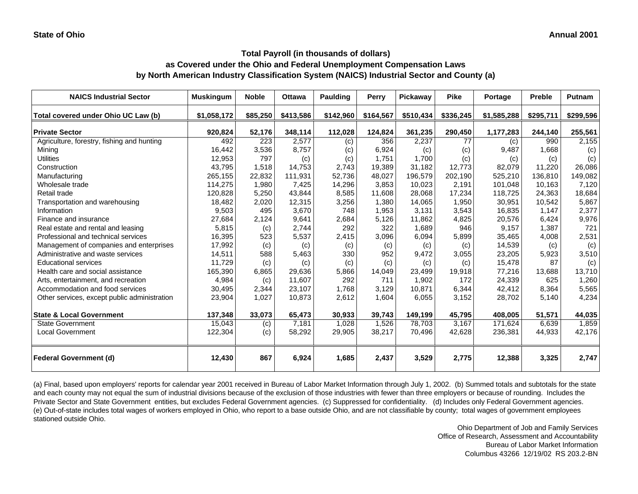## **Total Payroll (in thousands of dollars)**

#### **as Covered under the Ohio and Federal Unemployment Compensation Laws by North American Industry Classification System (NAICS) Industrial Sector and County (a)**

| <b>NAICS Industrial Sector</b>               | <b>Muskingum</b> | <b>Noble</b> | <b>Ottawa</b> | <b>Paulding</b> | <b>Perry</b> | Pickaway  | <b>Pike</b> | Portage     | <b>Preble</b> | <b>Putnam</b> |
|----------------------------------------------|------------------|--------------|---------------|-----------------|--------------|-----------|-------------|-------------|---------------|---------------|
| Total covered under Ohio UC Law (b)          | \$1,058,172      | \$85,250     | \$413,586     | \$142,960       | \$164,567    | \$510,434 | \$336,245   | \$1,585,288 | \$295,711     | \$299,596     |
| <b>Private Sector</b>                        | 920,824          | 52,176       | 348,114       | 112,028         | 124,824      | 361,235   | 290,450     | 1,177,283   | 244,140       | 255,561       |
| Agriculture, forestry, fishing and hunting   | 492              | 223          | 2,577         | (c)             | 356          | 2,237     | 77          | (c)         | 990           | 2,155         |
| Mining                                       | 16,442           | 3,536        | 8,757         | (c)             | 6,924        | (c)       | (c)         | 9,487       | 1,668         | (c)           |
| <b>Utilities</b>                             | 12,953           | 797          | (c)           | (c)             | 1.751        | 1.700     | (c)         | (c)         | (c)           | (c)           |
| Construction                                 | 43,795           | 1,518        | 14.753        | 2,743           | 19,389       | 31,182    | 12,773      | 82,079      | 11.220        | 26,086        |
| Manufacturing                                | 265,155          | 22,832       | 111,931       | 52,736          | 48,027       | 196,579   | 202,190     | 525,210     | 136,810       | 149,082       |
| Wholesale trade                              | 114,275          | 1,980        | 7,425         | 14,296          | 3,853        | 10,023    | 2,191       | 101,048     | 10,163        | 7,120         |
| Retail trade                                 | 120,828          | 5,250        | 43,844        | 8,585           | 11,608       | 28,068    | 17,234      | 118,725     | 24,363        | 18,684        |
| Transportation and warehousing               | 18,482           | 2,020        | 12,315        | 3,256           | 1,380        | 14,065    | 1,950       | 30,951      | 10,542        | 5,867         |
| Information                                  | 9,503            | 495          | 3,670         | 748             | 1,953        | 3,131     | 3,543       | 16,835      | 1,147         | 2,377         |
| Finance and insurance                        | 27,684           | 2,124        | 9,641         | 2,684           | 5,126        | 11,862    | 4,825       | 20,576      | 6,424         | 9,976         |
| Real estate and rental and leasing           | 5,815            | (c)          | 2,744         | 292             | 322          | 1,689     | 946         | 9,157       | 1,387         | 721           |
| Professional and technical services          | 16,395           | 523          | 5,537         | 2,415           | 3,096        | 6,094     | 5,899       | 35,465      | 4,008         | 2,531         |
| Management of companies and enterprises      | 17,992           | (c)          | (c)           | (c)             | (c)          | (c)       | (c)         | 14,539      | (c)           | (c)           |
| Administrative and waste services            | 14,511           | 588          | 5,463         | 330             | 952          | 9,472     | 3,055       | 23,205      | 5,923         | 3,510         |
| <b>Educational services</b>                  | 11,729           | (c)          | (c)           | (c)             | (c)          | (c)       | (c)         | 15,478      | 87            | (c)           |
| Health care and social assistance            | 165,390          | 6,865        | 29,636        | 5,866           | 14,049       | 23,499    | 19,918      | 77,216      | 13,688        | 13,710        |
| Arts, entertainment, and recreation          | 4,984            | (c)          | 11.607        | 292             | 711          | 1.902     | 172         | 24,339      | 625           | 1,260         |
| Accommodation and food services              | 30,495           | 2,344        | 23,107        | 1,768           | 3,129        | 10,871    | 6,344       | 42,412      | 8,364         | 5,565         |
| Other services, except public administration | 23,904           | 1,027        | 10,873        | 2,612           | 1,604        | 6,055     | 3,152       | 28,702      | 5,140         | 4,234         |
| <b>State &amp; Local Government</b>          | 137,348          | 33,073       | 65,473        | 30,933          | 39,743       | 149,199   | 45,795      | 408,005     | 51,571        | 44,035        |
| <b>State Government</b>                      | 15,043           | (c)          | 7,181         | 1,028           | 1,526        | 78,703    | 3,167       | 171,624     | 6,639         | 1,859         |
| <b>Local Government</b>                      | 122,304          | (c)          | 58,292        | 29,905          | 38,217       | 70,496    | 42,628      | 236,381     | 44,933        | 42,176        |
| <b>Federal Government (d)</b>                | 12,430           | 867          | 6,924         | 1,685           | 2,437        | 3,529     | 2,775       | 12,388      | 3,325         | 2,747         |

(a) Final, based upon employers' reports for calendar year 2001 received in Bureau of Labor Market Information through July 1, 2002. (b) Summed totals and subtotals for the state and each county may not equal the sum of industrial divisions because of the exclusion of those industries with fewer than three employers or because of rounding. Includes the Private Sector and State Government entities, but excludes Federal Government agencies. (c) Suppressed for confidentiality. (d) Includes only Federal Government agencies. (e) Out-of-state includes total wages of workers employed in Ohio, who report to a base outside Ohio, and are not classifiable by county; total wages of government employees stationed outside Ohio.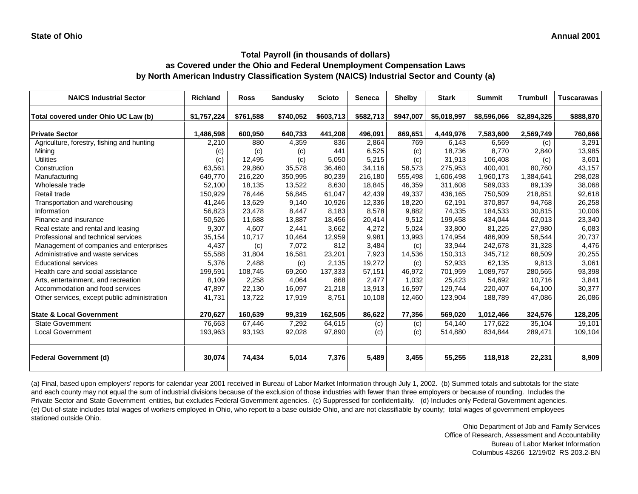| <b>NAICS Industrial Sector</b>               | <b>Richland</b> | <b>Ross</b> | Sandusky  | <b>Scioto</b> | <b>Seneca</b> | <b>Shelby</b> | <b>Stark</b> | <b>Summit</b> | <b>Trumbull</b> | <b>Tuscarawas</b> |
|----------------------------------------------|-----------------|-------------|-----------|---------------|---------------|---------------|--------------|---------------|-----------------|-------------------|
| Total covered under Ohio UC Law (b)          | \$1,757,224     | \$761,588   | \$740,052 | \$603,713     | \$582,713     | \$947,007     | \$5,018,997  | \$8,596,066   | \$2,894,325     | \$888,870         |
| <b>Private Sector</b>                        | 1,486,598       | 600,950     | 640,733   | 441,208       | 496,091       | 869,651       | 4,449,976    | 7,583,600     | 2,569,749       | 760,666           |
| Agriculture, forestry, fishing and hunting   | 2,210           | 880         | 4,359     | 836           | 2,864         | 769           | 6,143        | 6,569         | (c)             | 3,291             |
| Mining                                       | (c)             | (c)         | (c)       | 441           | 6,525         | (c)           | 18,736       | 8,770         | 2,840           | 13,985            |
| <b>Utilities</b>                             | (c)             | 12,495      | (c)       | 5,050         | 5,215         | (c)           | 31,913       | 106,408       | (c)             | 3,601             |
| Construction                                 | 63,561          | 29,860      | 35,578    | 36,460        | 34,116        | 58,573        | 275,953      | 400,401       | 80,760          | 43,157            |
| Manufacturing                                | 649,770         | 216,220     | 350,995   | 80,239        | 216,180       | 555,498       | 1,606,498    | 1,960,173     | 1,384,641       | 298,028           |
| Wholesale trade                              | 52,100          | 18,135      | 13,522    | 8,630         | 18,845        | 46,359        | 311,608      | 589,033       | 89,139          | 38,068            |
| Retail trade                                 | 150,929         | 76,446      | 56,845    | 61,047        | 42,439        | 49,337        | 436,165      | 750,509       | 218,851         | 92,618            |
| Transportation and warehousing               | 41,246          | 13,629      | 9,140     | 10,926        | 12,336        | 18,220        | 62,191       | 370,857       | 94,768          | 26,258            |
| Information                                  | 56,823          | 23,478      | 8,447     | 8,183         | 8,578         | 9,882         | 74,335       | 184,533       | 30,815          | 10,006            |
| Finance and insurance                        | 50.526          | 11.688      | 13,887    | 18,456        | 20,414        | 9,512         | 199.458      | 434,044       | 62,013          | 23,340            |
| Real estate and rental and leasing           | 9,307           | 4,607       | 2,441     | 3,662         | 4,272         | 5,024         | 33,800       | 81,225        | 27,980          | 6,083             |
| Professional and technical services          | 35,154          | 10,717      | 10,464    | 12,959        | 9,981         | 13,993        | 174,954      | 486,909       | 58,544          | 20,737            |
| Management of companies and enterprises      | 4,437           | (c)         | 7,072     | 812           | 3,484         | (c)           | 33,944       | 242,678       | 31,328          | 4,476             |
| Administrative and waste services            | 55,588          | 31,804      | 16,581    | 23,201        | 7,923         | 14,536        | 150,313      | 345,712       | 68,509          | 20,255            |
| <b>Educational services</b>                  | 5,376           | 2,488       | (c)       | 2,135         | 19,272        | (c)           | 52,933       | 62,135        | 9,813           | 3,061             |
| Health care and social assistance            | 199,591         | 108,745     | 69,260    | 137,333       | 57,151        | 46,972        | 701,959      | 1,089,757     | 280,565         | 93,398            |
| Arts, entertainment, and recreation          | 8.109           | 2,258       | 4,064     | 868           | 2,477         | 1,032         | 25,423       | 54,692        | 10,716          | 3,841             |
| Accommodation and food services              | 47,897          | 22,130      | 16,097    | 21,218        | 13,913        | 16,597        | 129,744      | 220,407       | 64,100          | 30,377            |
| Other services, except public administration | 41,731          | 13,722      | 17,919    | 8,751         | 10,108        | 12,460        | 123,904      | 188,789       | 47,086          | 26,086            |
| <b>State &amp; Local Government</b>          | 270,627         | 160,639     | 99,319    | 162,505       | 86,622        | 77,356        | 569,020      | 1,012,466     | 324,576         | 128,205           |
| <b>State Government</b>                      | 76,663          | 67,446      | 7,292     | 64,615        | (c)           | (c)           | 54,140       | 177,622       | 35,104          | 19,101            |
| <b>Local Government</b>                      | 193,963         | 93,193      | 92,028    | 97,890        | (c)           | (c)           | 514,880      | 834,844       | 289,471         | 109,104           |
| <b>Federal Government (d)</b>                | 30,074          | 74,434      | 5,014     | 7,376         | 5,489         | 3,455         | 55,255       | 118,918       | 22,231          | 8,909             |

(a) Final, based upon employers' reports for calendar year 2001 received in Bureau of Labor Market Information through July 1, 2002. (b) Summed totals and subtotals for the state and each county may not equal the sum of industrial divisions because of the exclusion of those industries with fewer than three employers or because of rounding. Includes the Private Sector and State Government entities, but excludes Federal Government agencies. (c) Suppressed for confidentiality. (d) Includes only Federal Government agencies. (e) Out-of-state includes total wages of workers employed in Ohio, who report to a base outside Ohio, and are not classifiable by county; total wages of government employees stationed outside Ohio.